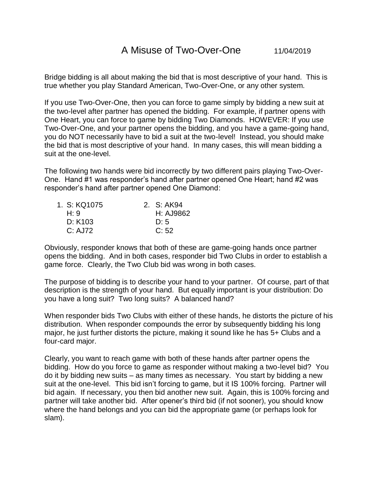Bridge bidding is all about making the bid that is most descriptive of your hand. This is true whether you play Standard American, Two-Over-One, or any other system.

If you use Two-Over-One, then you can force to game simply by bidding a new suit at the two-level after partner has opened the bidding. For example, if partner opens with One Heart, you can force to game by bidding Two Diamonds. HOWEVER: If you use Two-Over-One, and your partner opens the bidding, and you have a game-going hand, you do NOT necessarily have to bid a suit at the two-level! Instead, you should make the bid that is most descriptive of your hand. In many cases, this will mean bidding a suit at the one-level.

The following two hands were bid incorrectly by two different pairs playing Two-Over-One. Hand #1 was responder's hand after partner opened One Heart; hand #2 was responder's hand after partner opened One Diamond:

| 1. S: KQ1075 | 2. S: AK94 |  |
|--------------|------------|--|
| H: 9         | H: AJ9862  |  |
| D: K103      | D:5        |  |
| C: AJ72      | C: 52      |  |

Obviously, responder knows that both of these are game-going hands once partner opens the bidding. And in both cases, responder bid Two Clubs in order to establish a game force. Clearly, the Two Club bid was wrong in both cases.

The purpose of bidding is to describe your hand to your partner. Of course, part of that description is the strength of your hand. But equally important is your distribution: Do you have a long suit? Two long suits? A balanced hand?

When responder bids Two Clubs with either of these hands, he distorts the picture of his distribution. When responder compounds the error by subsequently bidding his long major, he just further distorts the picture, making it sound like he has 5+ Clubs and a four-card major.

Clearly, you want to reach game with both of these hands after partner opens the bidding. How do you force to game as responder without making a two-level bid? You do it by bidding new suits – as many times as necessary. You start by bidding a new suit at the one-level. This bid isn't forcing to game, but it IS 100% forcing. Partner will bid again. If necessary, you then bid another new suit. Again, this is 100% forcing and partner will take another bid. After opener's third bid (if not sooner), you should know where the hand belongs and you can bid the appropriate game (or perhaps look for slam).